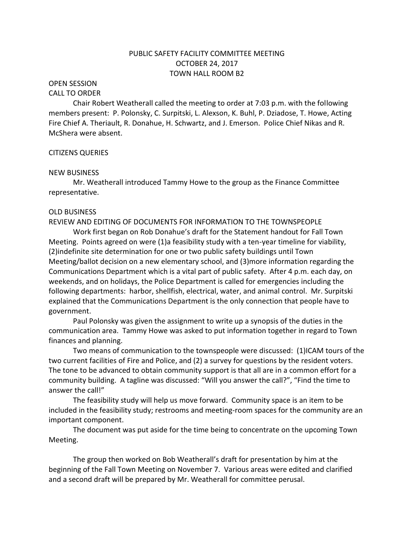## PUBLIC SAFETY FACILITY COMMITTEE MEETING OCTOBER 24, 2017 TOWN HALL ROOM B2

## OPEN SESSION

#### CALL TO ORDER

Chair Robert Weatherall called the meeting to order at 7:03 p.m. with the following members present: P. Polonsky, C. Surpitski, L. Alexson, K. Buhl, P. Dziadose, T. Howe, Acting Fire Chief A. Theriault, R. Donahue, H. Schwartz, and J. Emerson. Police Chief Nikas and R. McShera were absent.

#### CITIZENS QUERIES

#### NEW BUSINESS

Mr. Weatherall introduced Tammy Howe to the group as the Finance Committee representative.

#### OLD BUSINESS

REVIEW AND EDITING OF DOCUMENTS FOR INFORMATION TO THE TOWNSPEOPLE

Work first began on Rob Donahue's draft for the Statement handout for Fall Town Meeting. Points agreed on were (1)a feasibility study with a ten-year timeline for viability, (2)indefinite site determination for one or two public safety buildings until Town Meeting/ballot decision on a new elementary school, and (3)more information regarding the Communications Department which is a vital part of public safety. After 4 p.m. each day, on weekends, and on holidays, the Police Department is called for emergencies including the following departments: harbor, shellfish, electrical, water, and animal control. Mr. Surpitski explained that the Communications Department is the only connection that people have to government.

Paul Polonsky was given the assignment to write up a synopsis of the duties in the communication area. Tammy Howe was asked to put information together in regard to Town finances and planning.

Two means of communication to the townspeople were discussed: (1)ICAM tours of the two current facilities of Fire and Police, and (2) a survey for questions by the resident voters. The tone to be advanced to obtain community support is that all are in a common effort for a community building. A tagline was discussed: "Will you answer the call?", "Find the time to answer the call!"

The feasibility study will help us move forward. Community space is an item to be included in the feasibility study; restrooms and meeting-room spaces for the community are an important component.

The document was put aside for the time being to concentrate on the upcoming Town Meeting.

The group then worked on Bob Weatherall's draft for presentation by him at the beginning of the Fall Town Meeting on November 7. Various areas were edited and clarified and a second draft will be prepared by Mr. Weatherall for committee perusal.